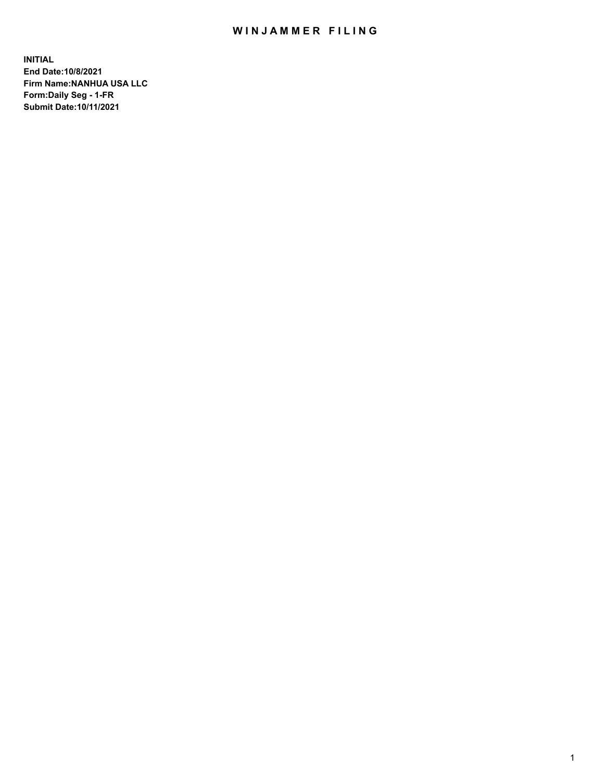# WIN JAMMER FILING

**INITIAL End Date:10/8/2021 Firm Name:NANHUA USA LLC Form:Daily Seg - 1-FR Submit Date:10/11/2021**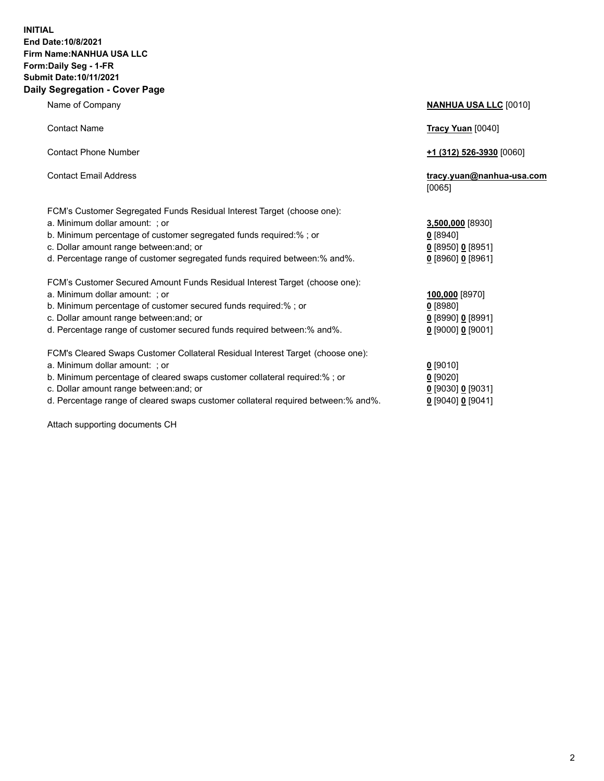### **INITIAL End Date:10/8/2021 Firm Name:NANHUA USA LLC Form:Daily Seg - 1-FR Submit Date:10/11/2021 Daily Segregation - Cover Page**

Name of Company **NANHUA USA LLC** [0010] Contact Name **Tracy Yuan** [0040] Contact Phone Number **+1 (312) 526-3930** [0060] Contact Email Address **tracy.yuan@nanhua-usa.com** [0065] FCM's Customer Segregated Funds Residual Interest Target (choose one): a. Minimum dollar amount: ; or **3,500,000** [8930] b. Minimum percentage of customer segregated funds required:% ; or **0** [8940] c. Dollar amount range between:and; or **0** [8950] **0** [8951] d. Percentage range of customer segregated funds required between:% and%. **0** [8960] **0** [8961] FCM's Customer Secured Amount Funds Residual Interest Target (choose one): a. Minimum dollar amount: ; or **100,000** [8970] b. Minimum percentage of customer secured funds required:% ; or **0** [8980] c. Dollar amount range between:and; or **0** [8990] **0** [8991] d. Percentage range of customer secured funds required between:% and%. **0** [9000] **0** [9001] FCM's Cleared Swaps Customer Collateral Residual Interest Target (choose one): a. Minimum dollar amount: ; or **0 g** b. Minimum percentage of cleared swaps customer collateral required:% ; or **0** c. Dollar amount range between:and; or **0** [9030] **0** [9031]

d. Percentage range of cleared swaps customer collateral required between:% and%. **0** [9040] **0** [9041]

Attach supporting documents CH

| [9010]                 |
|------------------------|
| [9020]                 |
| [9030] 0 [9031]        |
| 190401 <b>0</b> 190411 |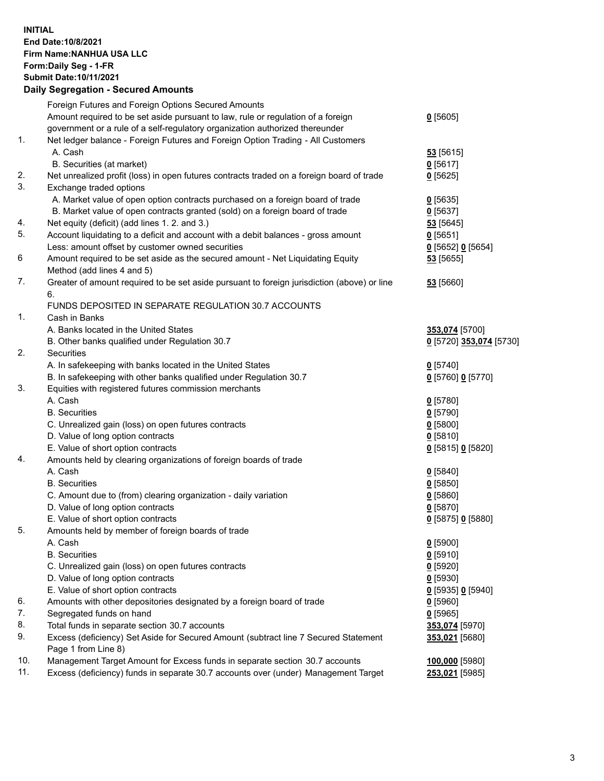## **INITIAL End Date:10/8/2021 Firm Name:NANHUA USA LLC Form:Daily Seg - 1-FR Submit Date:10/11/2021**

# **Daily Segregation - Secured Amounts**

|                | Foreign Futures and Foreign Options Secured Amounts                                         |                         |
|----------------|---------------------------------------------------------------------------------------------|-------------------------|
|                | Amount required to be set aside pursuant to law, rule or regulation of a foreign            | $0$ [5605]              |
|                | government or a rule of a self-regulatory organization authorized thereunder                |                         |
| $\mathbf{1}$ . | Net ledger balance - Foreign Futures and Foreign Option Trading - All Customers             |                         |
|                | A. Cash                                                                                     | 53 [5615]               |
|                | B. Securities (at market)                                                                   | 0[5617]                 |
| 2.             | Net unrealized profit (loss) in open futures contracts traded on a foreign board of trade   | $0$ [5625]              |
| 3.             | Exchange traded options                                                                     |                         |
|                | A. Market value of open option contracts purchased on a foreign board of trade              | $0$ [5635]              |
|                | B. Market value of open contracts granted (sold) on a foreign board of trade                | $0$ [5637]              |
| 4.             | Net equity (deficit) (add lines 1. 2. and 3.)                                               | 53 [5645]               |
| 5.<br>6        | Account liquidating to a deficit and account with a debit balances - gross amount           | 0[5651]                 |
|                | Less: amount offset by customer owned securities                                            | 0 [5652] 0 [5654]       |
|                | Amount required to be set aside as the secured amount - Net Liquidating Equity              | 53 [5655]               |
|                | Method (add lines 4 and 5)                                                                  |                         |
| 7.             | Greater of amount required to be set aside pursuant to foreign jurisdiction (above) or line | 53 [5660]               |
|                | 6.                                                                                          |                         |
| 1.             | FUNDS DEPOSITED IN SEPARATE REGULATION 30.7 ACCOUNTS<br>Cash in Banks                       |                         |
|                | A. Banks located in the United States                                                       |                         |
|                | B. Other banks qualified under Regulation 30.7                                              | 353,074 [5700]          |
| 2.             | <b>Securities</b>                                                                           | 0 [5720] 353,074 [5730] |
|                | A. In safekeeping with banks located in the United States                                   | $0$ [5740]              |
|                | B. In safekeeping with other banks qualified under Regulation 30.7                          | 0 [5760] 0 [5770]       |
| 3.             | Equities with registered futures commission merchants                                       |                         |
|                | A. Cash                                                                                     | $0$ [5780]              |
|                | <b>B.</b> Securities                                                                        | $0$ [5790]              |
|                | C. Unrealized gain (loss) on open futures contracts                                         | $0$ [5800]              |
|                | D. Value of long option contracts                                                           | 0[5810]                 |
|                | E. Value of short option contracts                                                          | 0 [5815] 0 [5820]       |
| 4.             | Amounts held by clearing organizations of foreign boards of trade                           |                         |
|                | A. Cash                                                                                     | $0$ [5840]              |
|                | <b>B.</b> Securities                                                                        | $0$ [5850]              |
|                | C. Amount due to (from) clearing organization - daily variation                             | 0[5860]                 |
|                | D. Value of long option contracts                                                           | $0$ [5870]              |
|                | E. Value of short option contracts                                                          | 0 [5875] 0 [5880]       |
| 5.             | Amounts held by member of foreign boards of trade                                           |                         |
|                | A. Cash                                                                                     | $0$ [5900]              |
|                | <b>B.</b> Securities                                                                        | $0$ [5910]              |
|                | C. Unrealized gain (loss) on open futures contracts                                         | $0$ [5920]              |
|                | D. Value of long option contracts                                                           | $0$ [5930]              |
|                | E. Value of short option contracts                                                          | 0 [5935] 0 [5940]       |
| 6.             | Amounts with other depositories designated by a foreign board of trade                      | $0$ [5960]              |
| 7.             | Segregated funds on hand                                                                    | $0$ [5965]              |
| 8.             | Total funds in separate section 30.7 accounts                                               | 353,074 [5970]          |
| 9.             | Excess (deficiency) Set Aside for Secured Amount (subtract line 7 Secured Statement         | 353,021 [5680]          |
|                | Page 1 from Line 8)                                                                         |                         |
| 10.            | Management Target Amount for Excess funds in separate section 30.7 accounts                 | 100,000 [5980]          |
| 11.            | Excess (deficiency) funds in separate 30.7 accounts over (under) Management Target          | 253,021 [5985]          |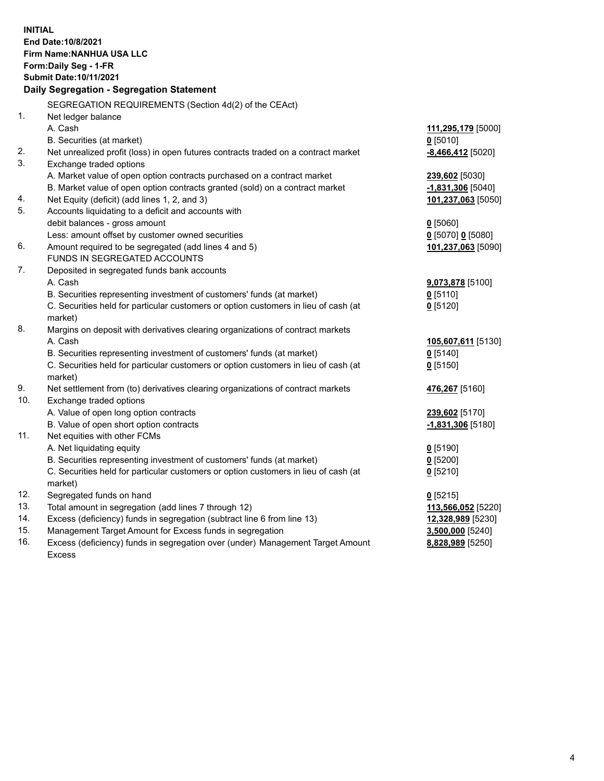**INITIAL End Date:10/8/2021 Firm Name:NANHUA USA LLC Form:Daily Seg - 1-FR Submit Date:10/11/2021 Daily Segregation - Segregation Statement** SEGREGATION REQUIREMENTS (Section 4d(2) of the CEAct) 1. Net ledger balance A. Cash **111,295,179** [5000] B. Securities (at market) **0** [5010] 2. Net unrealized profit (loss) in open futures contracts traded on a contract market **-8,466,412** [5020] 3. Exchange traded options A. Market value of open option contracts purchased on a contract market **239,602** [5030] B. Market value of open option contracts granted (sold) on a contract market **-1,831,306** [5040] 4. Net Equity (deficit) (add lines 1, 2, and 3) **101,237,063** [5050] 5. Accounts liquidating to a deficit and accounts with debit balances - gross amount **0** [5060] Less: amount offset by customer owned securities **0** [5070] **0** [5080] 6. Amount required to be segregated (add lines 4 and 5) **101,237,063** [5090] FUNDS IN SEGREGATED ACCOUNTS 7. Deposited in segregated funds bank accounts A. Cash **9,073,878** [5100] B. Securities representing investment of customers' funds (at market) **0** [5110] C. Securities held for particular customers or option customers in lieu of cash (at market) **0** [5120] 8. Margins on deposit with derivatives clearing organizations of contract markets A. Cash **105,607,611** [5130] B. Securities representing investment of customers' funds (at market) **0** [5140] C. Securities held for particular customers or option customers in lieu of cash (at market) **0** [5150] 9. Net settlement from (to) derivatives clearing organizations of contract markets **476,267** [5160] 10. Exchange traded options A. Value of open long option contracts **239,602** [5170] B. Value of open short option contracts **-1,831,306** [5180] 11. Net equities with other FCMs A. Net liquidating equity **0** [5190] B. Securities representing investment of customers' funds (at market) **0** [5200] C. Securities held for particular customers or option customers in lieu of cash (at market) **0** [5210] 12. Segregated funds on hand **0** [5215] 13. Total amount in segregation (add lines 7 through 12) **113,566,052** [5220] 14. Excess (deficiency) funds in segregation (subtract line 6 from line 13) **12,328,989** [5230] 15. Management Target Amount for Excess funds in segregation **3,500,000** [5240] 16. Excess (deficiency) funds in segregation over (under) Management Target Amount **8,828,989** [5250]

Excess